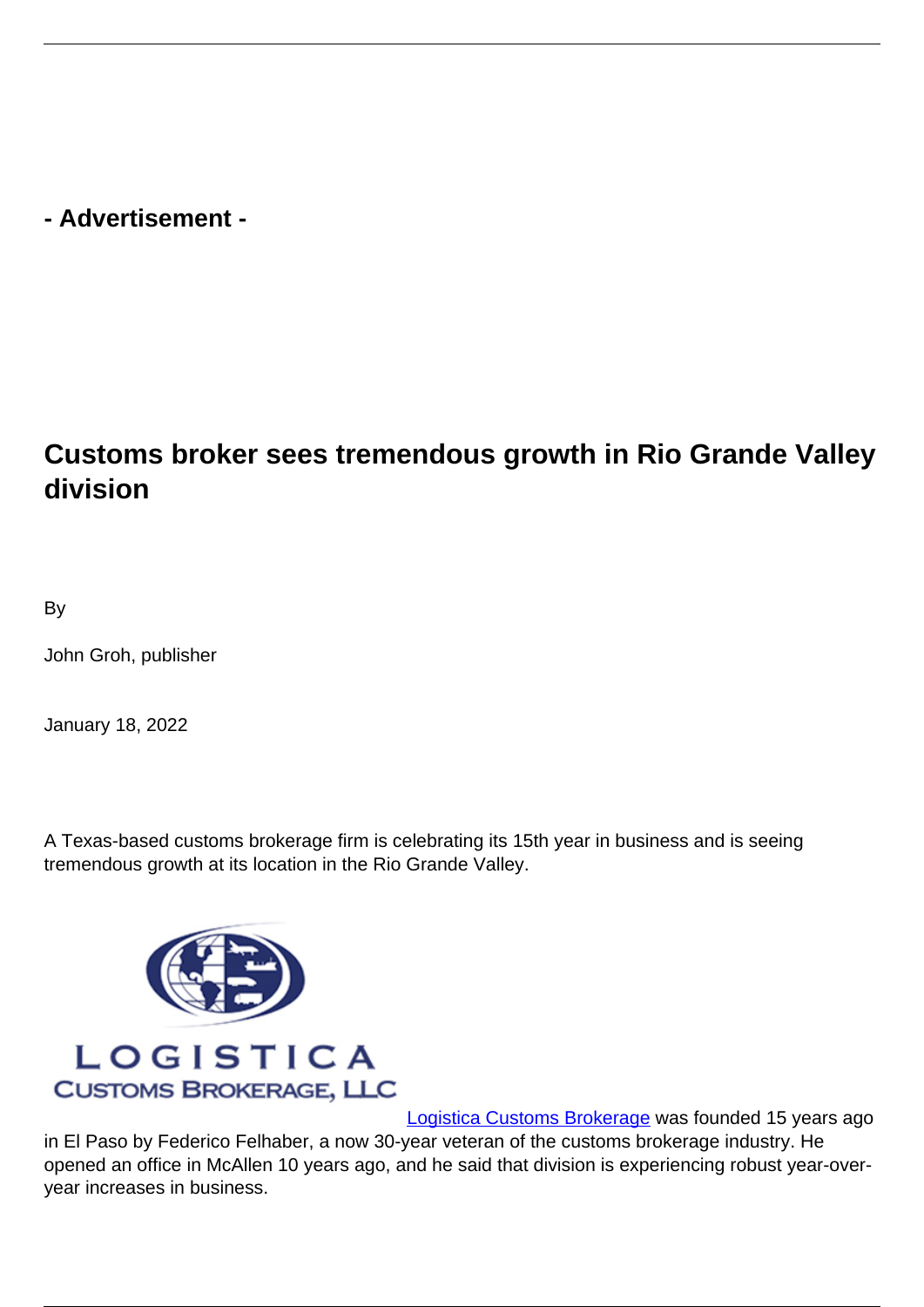## **- Advertisement -**

## **Customs broker sees tremendous growth in Rio Grande Valley division**

By

John Groh, publisher

January 18, 2022

A Texas-based customs brokerage firm is celebrating its 15th year in business and is seeing tremendous growth at its location in the Rio Grande Valley.



[Logistica Customs Brokerage](https://www.logisticacb.com/) was founded 15 years ago in El Paso by Federico Felhaber, a now 30-year veteran of the customs brokerage industry. He opened an office in McAllen 10 years ago, and he said that division is experiencing robust year-overyear increases in business.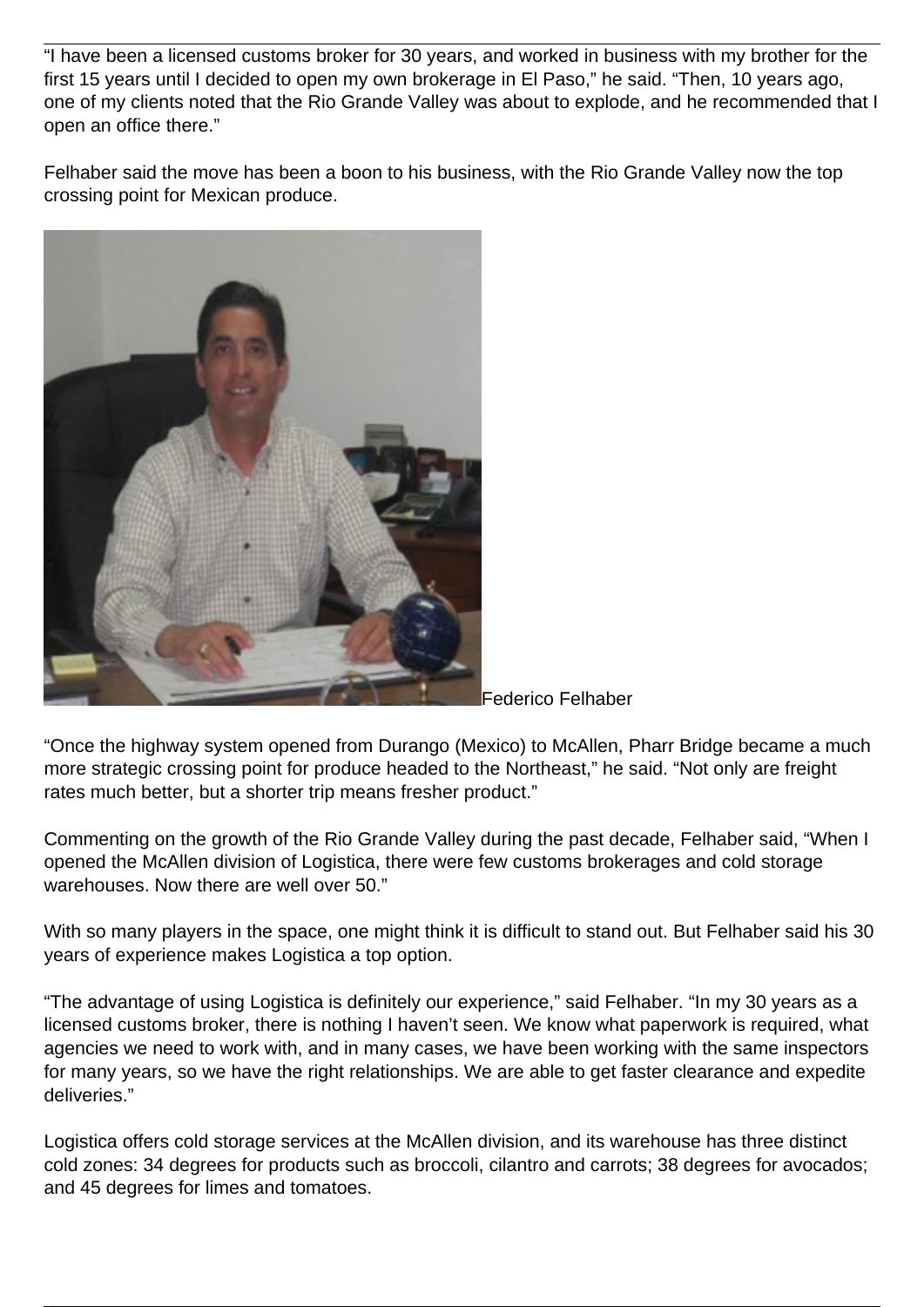"I have been a licensed customs broker for 30 years, and worked in business with my brother for the first 15 years until I decided to open my own brokerage in El Paso," he said. "Then, 10 years ago, one of my clients noted that the Rio Grande Valley was about to explode, and he recommended that I open an office there."

Felhaber said the move has been a boon to his business, with the Rio Grande Valley now the top crossing point for Mexican produce.



Federico Felhaber

"Once the highway system opened from Durango (Mexico) to McAllen, Pharr Bridge became a much more strategic crossing point for produce headed to the Northeast," he said. "Not only are freight rates much better, but a shorter trip means fresher product."

Commenting on the growth of the Rio Grande Valley during the past decade, Felhaber said, "When I opened the McAllen division of Logistica, there were few customs brokerages and cold storage warehouses. Now there are well over 50."

With so many players in the space, one might think it is difficult to stand out. But Felhaber said his 30 years of experience makes Logistica a top option.

"The advantage of using Logistica is definitely our experience," said Felhaber. "In my 30 years as a licensed customs broker, there is nothing I haven't seen. We know what paperwork is required, what agencies we need to work with, and in many cases, we have been working with the same inspectors for many years, so we have the right relationships. We are able to get faster clearance and expedite deliveries."

Logistica offers cold storage services at the McAllen division, and its warehouse has three distinct cold zones: 34 degrees for products such as broccoli, cilantro and carrots; 38 degrees for avocados; and 45 degrees for limes and tomatoes.